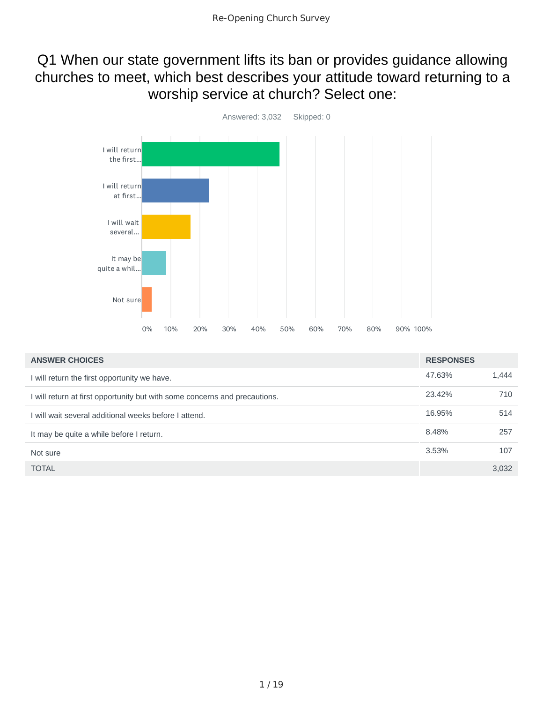### Q1 When our state government lifts its ban or provides guidance allowing churches to meet, which best describes your attitude toward returning to a worship service at church? Select one:



| <b>ANSWER CHOICES</b>                                                      | <b>RESPONSES</b> |       |
|----------------------------------------------------------------------------|------------------|-------|
| I will return the first opportunity we have.                               | 47.63%           | 1,444 |
| I will return at first opportunity but with some concerns and precautions. | 23.42%           | 710   |
| I will wait several additional weeks before I attend.                      | 16.95%           | 514   |
| It may be quite a while before I return.                                   | 8.48%            | 257   |
| Not sure                                                                   | 3.53%            | 107   |
| <b>TOTAL</b>                                                               |                  | 3,032 |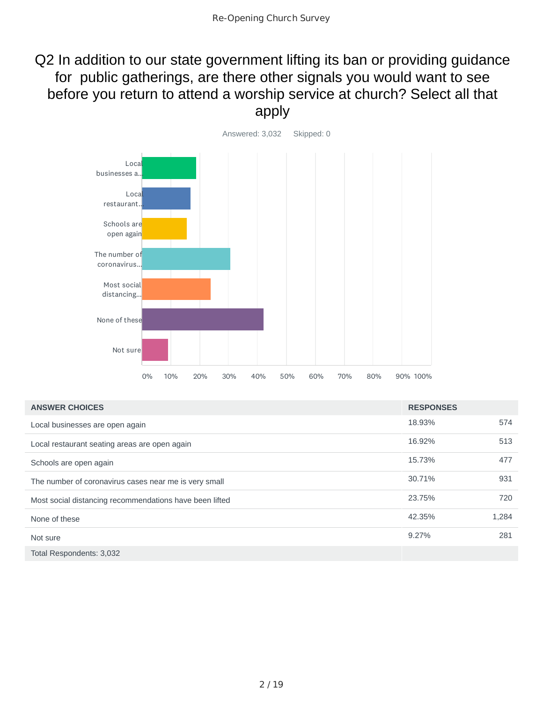### Q2 In addition to our state government lifting its ban or providing guidance for public gatherings, are there other signals you would want to see before you return to attend a worship service at church? Select all that apply



| <b>ANSWER CHOICES</b>                                   | <b>RESPONSES</b> |       |
|---------------------------------------------------------|------------------|-------|
| Local businesses are open again                         | 18.93%           | 574   |
| Local restaurant seating areas are open again           | 16.92%           | 513   |
| Schools are open again                                  | 15.73%           | 477   |
| The number of coronavirus cases near me is very small   | 30.71%           | 931   |
| Most social distancing recommendations have been lifted | 23.75%           | 720   |
| None of these                                           | 42.35%           | 1,284 |
| Not sure                                                | 9.27%            | 281   |
| Total Respondents: 3,032                                |                  |       |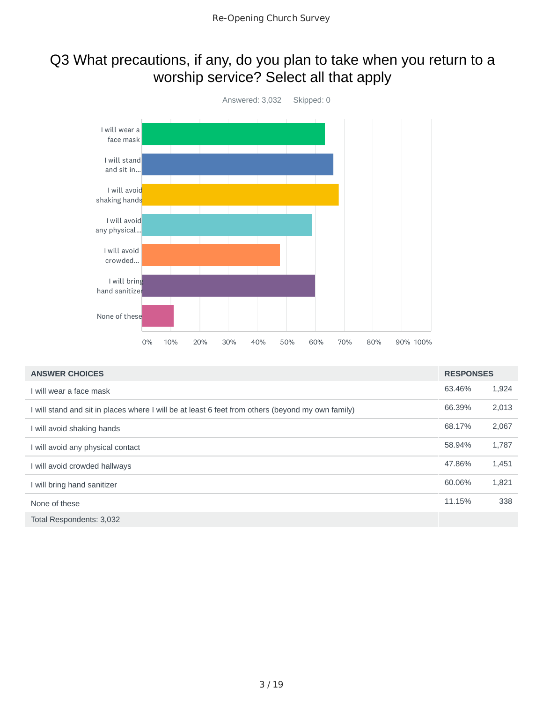### Q3 What precautions, if any, do you plan to take when you return to a worship service? Select all that apply



| <b>ANSWER CHOICES</b>                                                                             | <b>RESPONSES</b> |       |
|---------------------------------------------------------------------------------------------------|------------------|-------|
| I will wear a face mask                                                                           | 63.46%           | 1,924 |
| I will stand and sit in places where I will be at least 6 feet from others (beyond my own family) | 66.39%           | 2,013 |
| I will avoid shaking hands                                                                        | 68.17%           | 2,067 |
| I will avoid any physical contact                                                                 | 58.94%           | 1,787 |
| I will avoid crowded hallways                                                                     | 47.86%           | 1,451 |
| I will bring hand sanitizer                                                                       | 60.06%           | 1,821 |
| None of these                                                                                     | 11.15%           | 338   |
| Total Respondents: 3,032                                                                          |                  |       |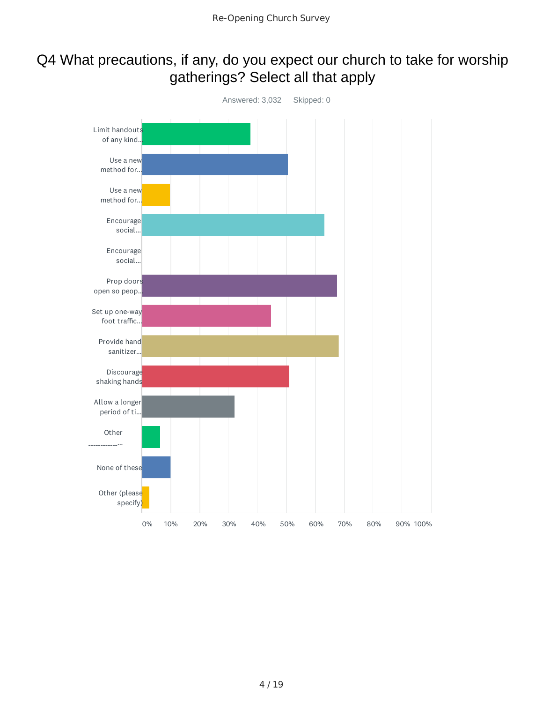### Q4 What precautions, if any, do you expect our church to take for worship gatherings? Select all that apply

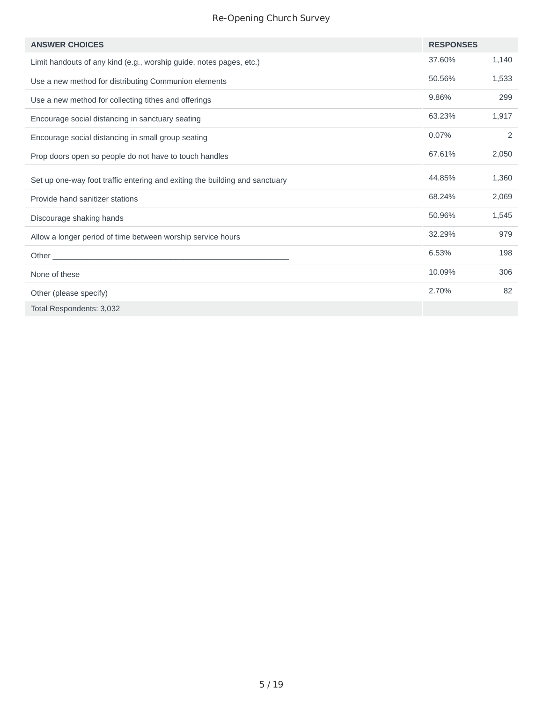#### Re-Opening Church Survey

| <b>ANSWER CHOICES</b>                                                                                                          | <b>RESPONSES</b> |       |
|--------------------------------------------------------------------------------------------------------------------------------|------------------|-------|
| Limit handouts of any kind (e.g., worship guide, notes pages, etc.)                                                            | 37.60%           | 1,140 |
| Use a new method for distributing Communion elements                                                                           | 50.56%           | 1,533 |
| Use a new method for collecting tithes and offerings                                                                           | 9.86%            | 299   |
| Encourage social distancing in sanctuary seating                                                                               | 63.23%           | 1,917 |
| Encourage social distancing in small group seating                                                                             | 0.07%            | 2     |
| Prop doors open so people do not have to touch handles                                                                         | 67.61%           | 2,050 |
| Set up one-way foot traffic entering and exiting the building and sanctuary                                                    | 44.85%           | 1,360 |
| Provide hand sanitizer stations                                                                                                | 68.24%           | 2,069 |
| Discourage shaking hands                                                                                                       | 50.96%           | 1,545 |
| Allow a longer period of time between worship service hours                                                                    | 32.29%           | 979   |
| Other<br><u> 1980 - Johann John Stein, mars an deutscher Stein und der Stein und der Stein und der Stein und der Stein und</u> | 6.53%            | 198   |
| None of these                                                                                                                  | 10.09%           | 306   |
| Other (please specify)                                                                                                         | 2.70%            | 82    |
| Total Respondents: 3,032                                                                                                       |                  |       |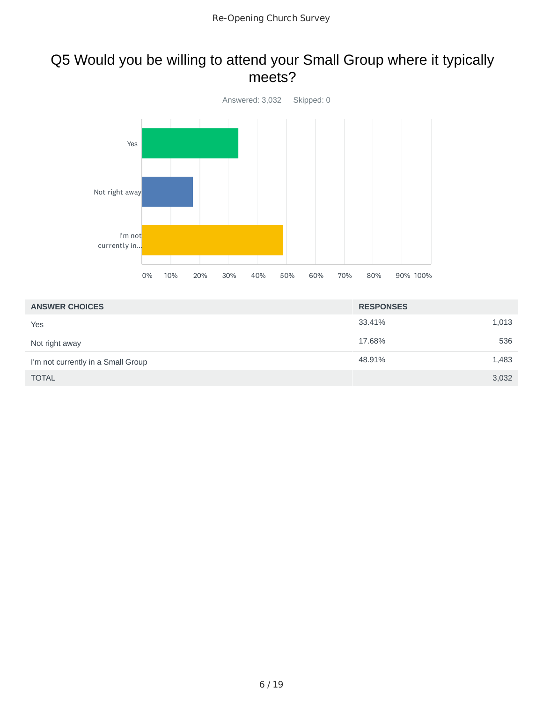#### Q5 Would you be willing to attend your Small Group where it typically meets?



| <b>ANSWER CHOICES</b>              | <b>RESPONSES</b> |       |
|------------------------------------|------------------|-------|
| Yes                                | 33.41%           | 1,013 |
| Not right away                     | 17.68%           | 536   |
| I'm not currently in a Small Group | 48.91%           | 1,483 |
| <b>TOTAL</b>                       |                  | 3,032 |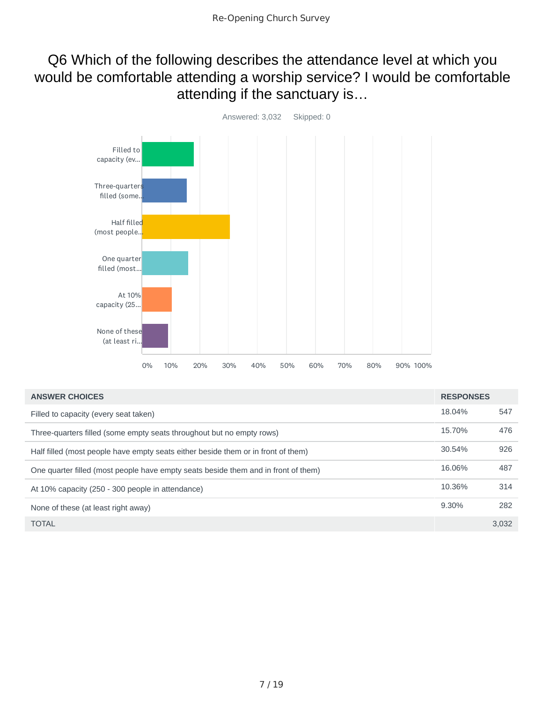#### Q6 Which of the following describes the attendance level at which you would be comfortable attending a worship service? I would be comfortable attending if the sanctuary is…



| <b>ANSWER CHOICES</b>                                                              | <b>RESPONSES</b> |       |
|------------------------------------------------------------------------------------|------------------|-------|
| Filled to capacity (every seat taken)                                              | 18.04%           | 547   |
| Three-quarters filled (some empty seats throughout but no empty rows)              | 15.70%           | 476   |
| Half filled (most people have empty seats either beside them or in front of them)  | 30.54%           | 926   |
| One quarter filled (most people have empty seats beside them and in front of them) | 16.06%           | 487   |
| At 10% capacity (250 - 300 people in attendance)                                   | 10.36%           | 314   |
| None of these (at least right away)                                                | 9.30%            | 282   |
| <b>TOTAL</b>                                                                       |                  | 3,032 |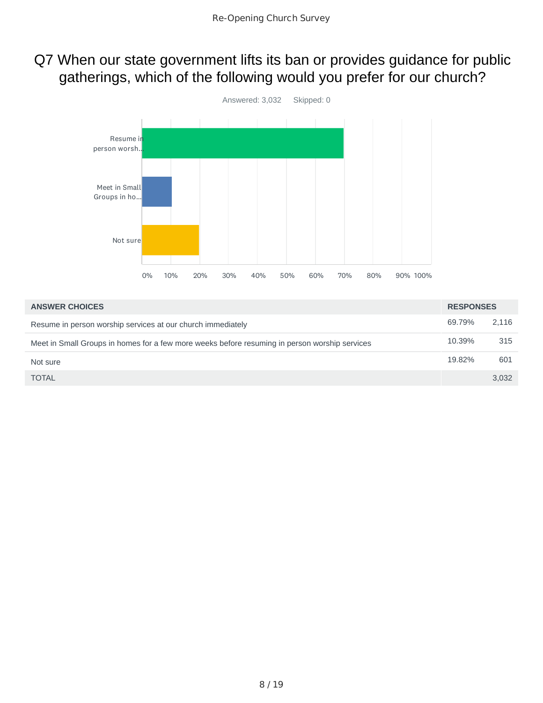### Q7 When our state government lifts its ban or provides guidance for public gatherings, which of the following would you prefer for our church?



| <b>ANSWER CHOICES</b>                                                                         | <b>RESPONSES</b> |       |
|-----------------------------------------------------------------------------------------------|------------------|-------|
| Resume in person worship services at our church immediately                                   | 69.79%           | 2.116 |
| Meet in Small Groups in homes for a few more weeks before resuming in person worship services | 10.39%           | 315   |
| Not sure                                                                                      | 19.82%           | 601   |
| <b>TOTAL</b>                                                                                  |                  | 3.032 |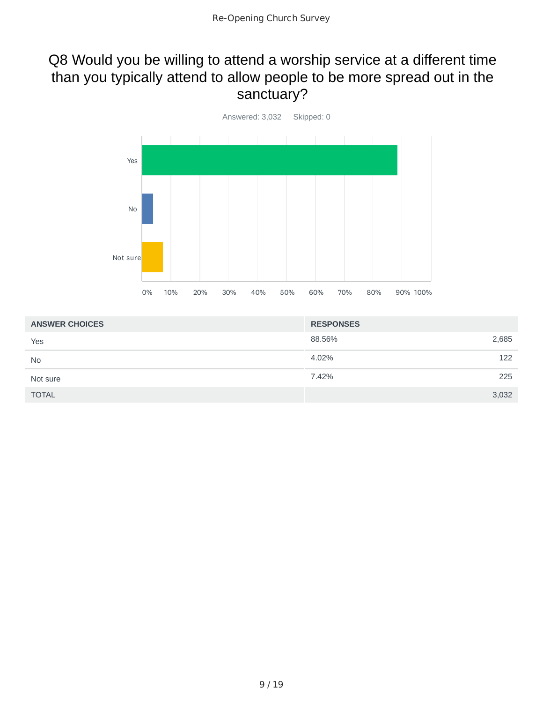### Q8 Would you be willing to attend a worship service at a different time than you typically attend to allow people to be more spread out in the sanctuary?



| <b>ANSWER CHOICES</b> | <b>RESPONSES</b> |       |
|-----------------------|------------------|-------|
| Yes                   | 88.56%           | 2,685 |
| <b>No</b>             | 4.02%            | 122   |
| Not sure              | 7.42%            | 225   |
| <b>TOTAL</b>          |                  | 3,032 |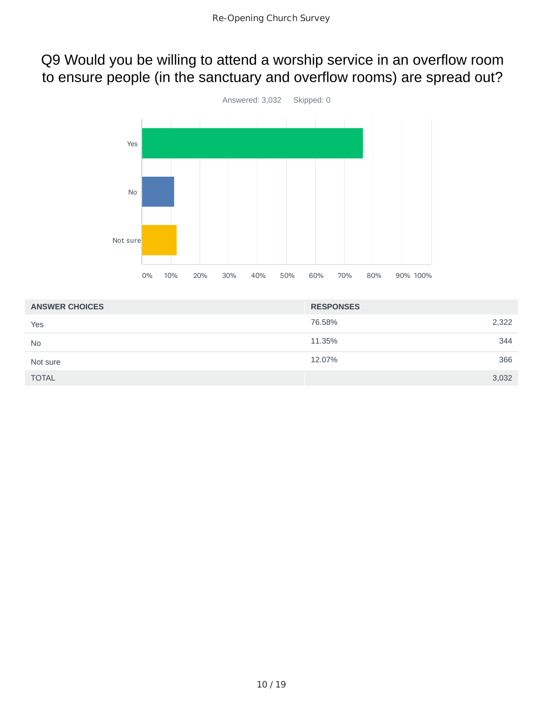### Q9 Would you be willing to attend a worship service in an overflow room to ensure people (in the sanctuary and overflow rooms) are spread out?



| <b>ANSWER CHOICES</b> | <b>RESPONSES</b> |       |
|-----------------------|------------------|-------|
| Yes                   | 76.58%           | 2,322 |
| <b>No</b>             | 11.35%           | 344   |
| Not sure              | 12.07%           | 366   |
| <b>TOTAL</b>          |                  | 3,032 |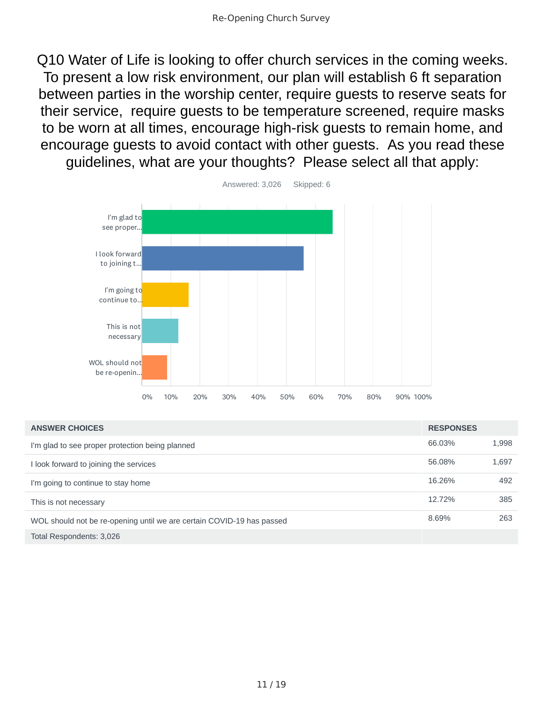Q10 Water of Life is looking to offer church services in the coming weeks. To present a low risk environment, our plan will establish 6 ft separation between parties in the worship center, require guests to reserve seats for their service, require guests to be temperature screened, require masks to be worn at all times, encourage high-risk guests to remain home, and encourage guests to avoid contact with other guests. As you read these guidelines, what are your thoughts? Please select all that apply:



| <b>ANSWER CHOICES</b>                                                 | <b>RESPONSES</b> |       |
|-----------------------------------------------------------------------|------------------|-------|
| I'm glad to see proper protection being planned                       | 66.03%           | 1,998 |
| I look forward to joining the services                                | 56.08%           | 1,697 |
| I'm going to continue to stay home                                    | 16.26%           | 492   |
| This is not necessary                                                 | 12.72%           | 385   |
| WOL should not be re-opening until we are certain COVID-19 has passed | 8.69%            | 263   |
| Total Respondents: 3,026                                              |                  |       |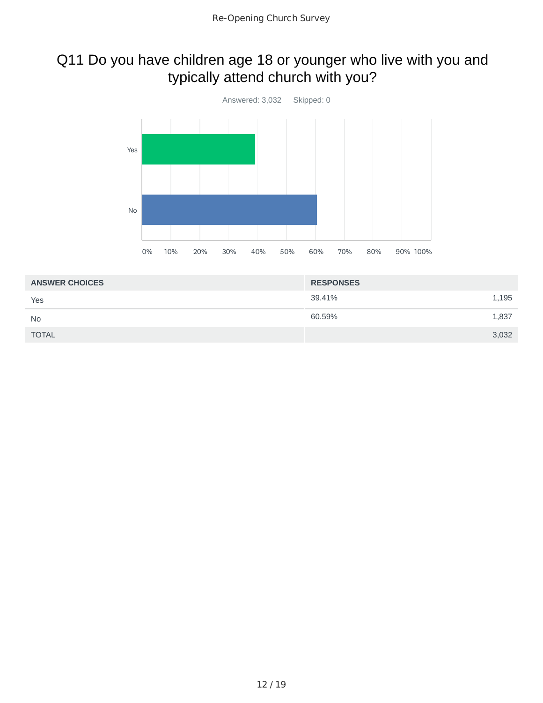## Q11 Do you have children age 18 or younger who live with you and typically attend church with you?



| <b>ANSWER CHOICES</b> | <b>RESPONSES</b> |       |
|-----------------------|------------------|-------|
| Yes                   | 39.41%           | 1,195 |
| <b>No</b>             | 60.59%           | 1,837 |
| <b>TOTAL</b>          |                  | 3,032 |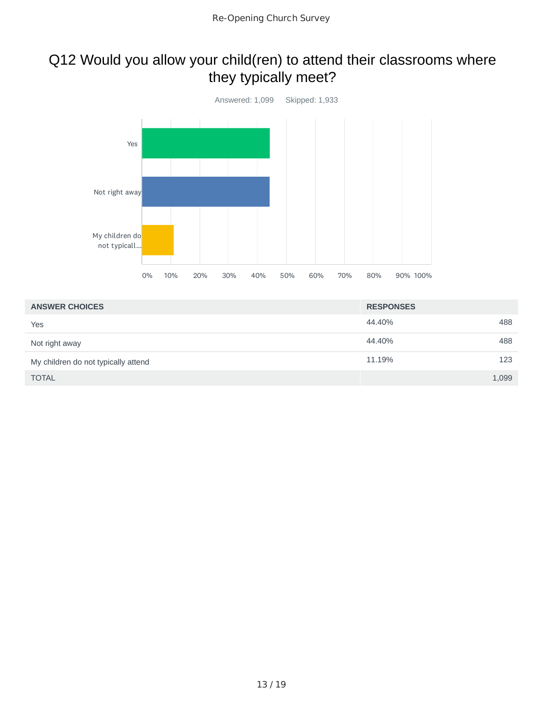### Q12 Would you allow your child(ren) to attend their classrooms where they typically meet?



| <b>ANSWER CHOICES</b>               | <b>RESPONSES</b> |       |
|-------------------------------------|------------------|-------|
| Yes                                 | 44.40%           | 488   |
| Not right away                      | 44.40%           | 488   |
| My children do not typically attend | 11.19%           | 123   |
| <b>TOTAL</b>                        |                  | 1,099 |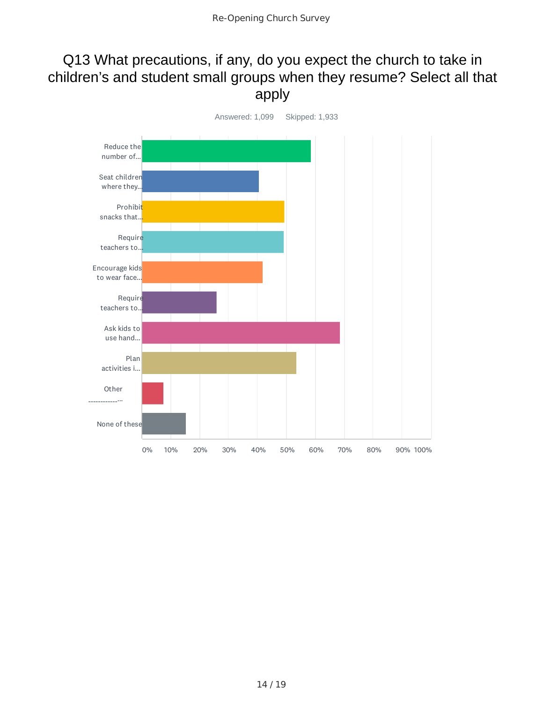#### Q13 What precautions, if any, do you expect the church to take in children's and student small groups when they resume? Select all that apply

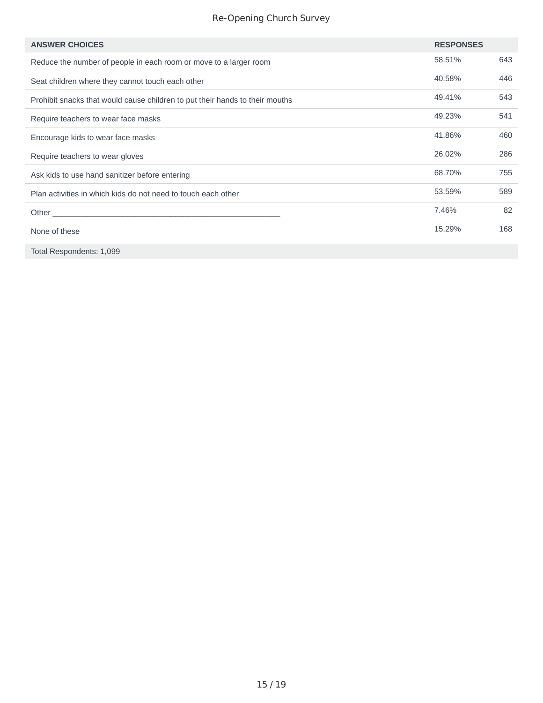#### Re-Opening Church Survey

| <b>ANSWER CHOICES</b>                                                        | <b>RESPONSES</b> |     |
|------------------------------------------------------------------------------|------------------|-----|
| Reduce the number of people in each room or move to a larger room            | 58.51%           | 643 |
| Seat children where they cannot touch each other                             | 40.58%           | 446 |
| Prohibit snacks that would cause children to put their hands to their mouths | 49.41%           | 543 |
| Require teachers to wear face masks                                          | 49.23%           | 541 |
| Encourage kids to wear face masks                                            | 41.86%           | 460 |
| Require teachers to wear gloves                                              | 26.02%           | 286 |
| Ask kids to use hand sanitizer before entering                               | 68.70%           | 755 |
| Plan activities in which kids do not need to touch each other                | 53.59%           | 589 |
|                                                                              | 7.46%            | 82  |
| None of these                                                                | 15.29%           | 168 |
| Total Respondents: 1,099                                                     |                  |     |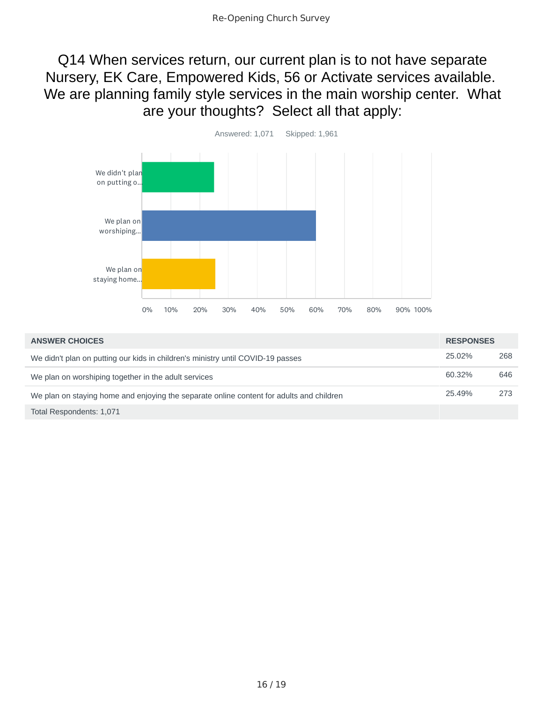Q14 When services return, our current plan is to not have separate Nursery, EK Care, Empowered Kids, 56 or Activate services available. We are planning family style services in the main worship center. What are your thoughts? Select all that apply:



| <b>ANSWER CHOICES</b>                                                                    | <b>RESPONSES</b> |     |
|------------------------------------------------------------------------------------------|------------------|-----|
| We didn't plan on putting our kids in children's ministry until COVID-19 passes          | 25.02%           | 268 |
| We plan on worshiping together in the adult services                                     | 60.32%           | 646 |
| We plan on staying home and enjoying the separate online content for adults and children | 25.49%           | 273 |
| Total Respondents: 1,071                                                                 |                  |     |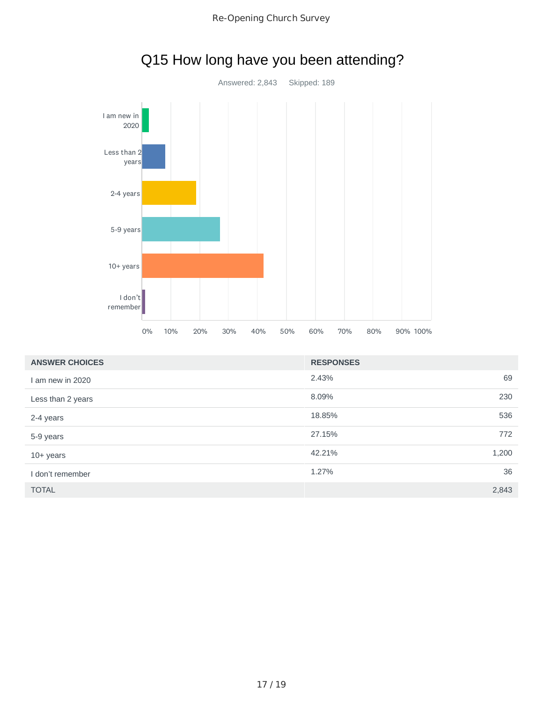

| <b>ANSWER CHOICES</b> | <b>RESPONSES</b> |       |
|-----------------------|------------------|-------|
| I am new in 2020      | 2.43%            | 69    |
| Less than 2 years     | 8.09%            | 230   |
| 2-4 years             | 18.85%           | 536   |
| 5-9 years             | 27.15%           | 772   |
| $10+$ years           | 42.21%           | 1,200 |
| I don't remember      | 1.27%            | 36    |
| <b>TOTAL</b>          |                  | 2,843 |

# Q15 How long have you been attending?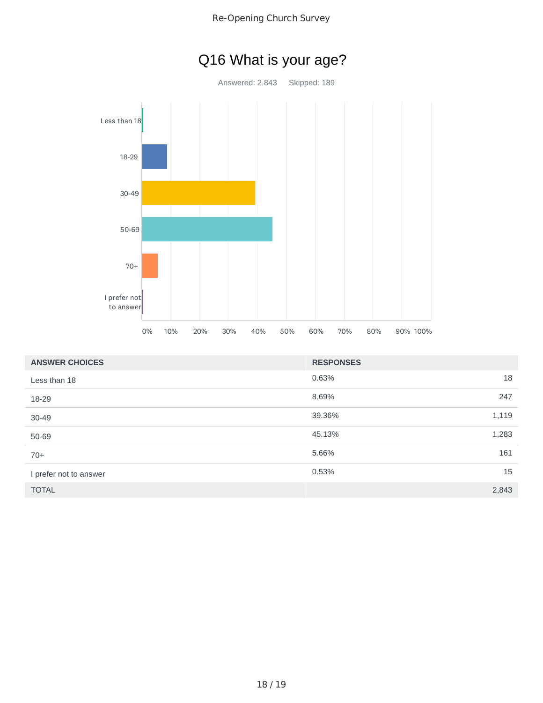



| <b>ANSWER CHOICES</b>  | <b>RESPONSES</b> |       |
|------------------------|------------------|-------|
| Less than 18           | 0.63%            | 18    |
| 18-29                  | 8.69%            | 247   |
| $30 - 49$              | 39.36%           | 1,119 |
| 50-69                  | 45.13%           | 1,283 |
| $70+$                  | 5.66%            | 161   |
| I prefer not to answer | 0.53%            | 15    |
| <b>TOTAL</b>           |                  | 2,843 |

# Q16 What is your age?